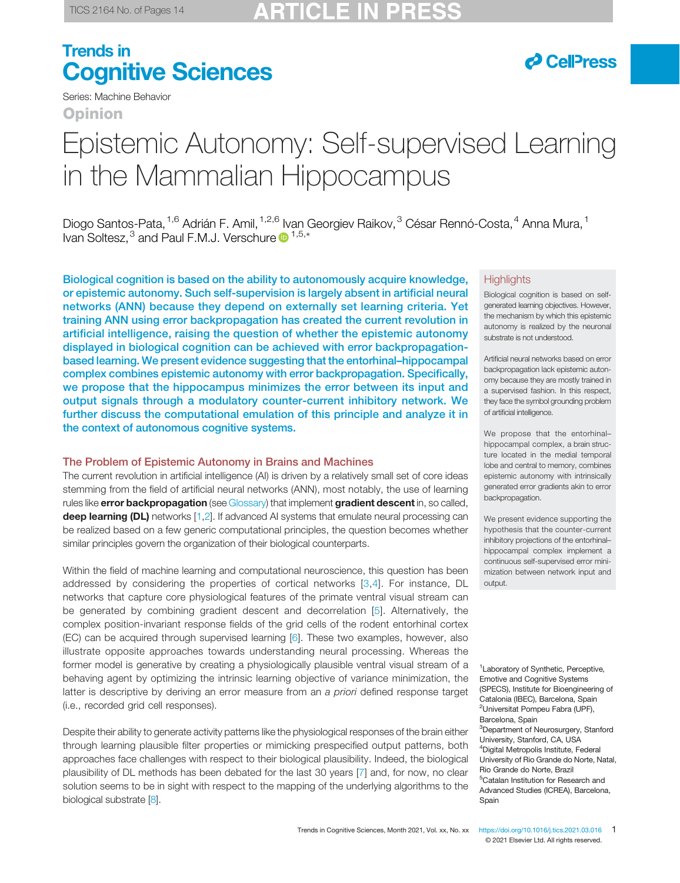# **P** CellPress

Series: Machine Behavior

Opinion

# Epistemic Autonomy: Self-supervised Learning in the Mammalian Hippocampus

Diogo Santos-Pata, <sup>1,6</sup> Adrián F. Amil, <sup>1,2,6</sup> Ivan Georgiev Raikov, <sup>3</sup> César Rennó-Costa, <sup>4</sup> Anna Mura, <sup>1</sup> Ivan Soltesz,<sup>3</sup> and Paul F.M.J. Verschure D<sup>1,5,\*</sup>

Biological cognition is based on the ability to autonomously acquire knowledge, or epistemic autonomy. Such self-supervision is largely absent in artificial neural networks (ANN) because they depend on externally set learning criteria. Yet training ANN using error backpropagation has created the current revolution in artificial intelligence, raising the question of whether the epistemic autonomy displayed in biological cognition can be achieved with error backpropagationbased learning. We present evidence suggesting that the entorhinal–hippocampal complex combines epistemic autonomy with error backpropagation. Specifically, we propose that the hippocampus minimizes the error between its input and output signals through a modulatory counter-current inhibitory network. We further discuss the computational emulation of this principle and analyze it in the context of autonomous cognitive systems.

### The Problem of Epistemic Autonomy in Brains and Machines

The current revolution in artificial intelligence (AI) is driven by a relatively small set of core ideas stemming from the field of artificial neural networks (ANN), most notably, the use of learning rules like error backpropagation (see Glossary) that implement gradient descent in, so called, deep learning (DL) networks [1,2]. If advanced AI systems that emulate neural processing can be realized based on a few generic computational principles, the question becomes whether similar principles govern the organization of their biological counterparts.

Within the field of machine learning and computational neuroscience, this question has been addressed by considering the properties of cortical networks [3,4]. For instance, DL networks that capture core physiological features of the primate ventral visual stream can be generated by combining gradient descent and decorrelation [5]. Alternatively, the complex position-invariant response fields of the grid cells of the rodent entorhinal cortex (EC) can be acquired through supervised learning [6]. These two examples, however, also illustrate opposite approaches towards understanding neural processing. Whereas the former model is generative by creating a physiologically plausible ventral visual stream of a behaving agent by optimizing the intrinsic learning objective of variance minimization, the latter is descriptive by deriving an error measure from an a priori defined response target (i.e., recorded grid cell responses).

Despite their ability to generate activity patterns like the physiological responses of the brain either through learning plausible filter properties or mimicking prespecified output patterns, both approaches face challenges with respect to their biological plausibility. Indeed, the biological plausibility of DL methods has been debated for the last 30 years [7] and, for now, no clear solution seems to be in sight with respect to the mapping of the underlying algorithms to the biological substrate [8].

### **Highlights**

Biological cognition is based on selfgenerated learning objectives. However, the mechanism by which this epistemic autonomy is realized by the neuronal substrate is not understood.

Artificial neural networks based on error backpropagation lack epistemic autonomy because they are mostly trained in a supervised fashion. In this respect, they face the symbol grounding problem of artificial intelligence.

We propose that the entorhinal– hippocampal complex, a brain structure located in the medial temporal lobe and central to memory, combines epistemic autonomy with intrinsically generated error gradients akin to error backpropagation.

We present evidence supporting the hypothesis that the counter-current inhibitory projections of the entorhinal– hippocampal complex implement a continuous self-supervised error minimization between network input and output.

<sup>1</sup> Laboratory of Synthetic, Perceptive, Emotive and Cognitive Systems (SPECS), Institute for Bioengineering of Catalonia (IBEC), Barcelona, Spain <sup>2</sup>Universitat Pompeu Fabra (UPF), Barcelona, Spain <sup>3</sup>Department of Neurosurgery, Stanford University, Stanford, CA, USA <sup>4</sup>Digital Metropolis Institute, Federal University of Rio Grande do Norte, Natal, Rio Grande do Norte, Brazil <sup>5</sup>Catalan Institution for Research and Advanced Studies (ICREA), Barcelona, Spain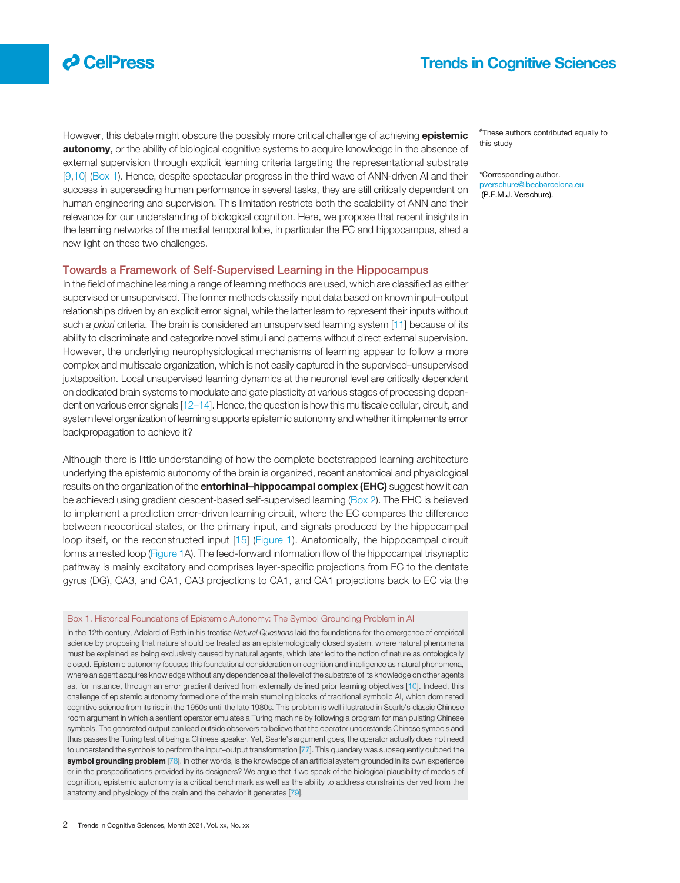

However, this debate might obscure the possibly more critical challenge of achieving epistemic **autonomy**, or the ability of biological cognitive systems to acquire knowledge in the absence of external supervision through explicit learning criteria targeting the representational substrate [9,10] (Box 1). Hence, despite spectacular progress in the third wave of ANN-driven AI and their success in superseding human performance in several tasks, they are still critically dependent on human engineering and supervision. This limitation restricts both the scalability of ANN and their relevance for our understanding of biological cognition. Here, we propose that recent insights in the learning networks of the medial temporal lobe, in particular the EC and hippocampus, shed a new light on these two challenges.

### Towards a Framework of Self-Supervised Learning in the Hippocampus

In the field of machine learning a range of learning methods are used, which are classified as either supervised or unsupervised. The former methods classify input data based on known input–output relationships driven by an explicit error signal, while the latter learn to represent their inputs without such a priori criteria. The brain is considered an unsupervised learning system [11] because of its ability to discriminate and categorize novel stimuli and patterns without direct external supervision. However, the underlying neurophysiological mechanisms of learning appear to follow a more complex and multiscale organization, which is not easily captured in the supervised–unsupervised juxtaposition. Local unsupervised learning dynamics at the neuronal level are critically dependent on dedicated brain systems to modulate and gate plasticity at various stages of processing dependent on various error signals [12–14]. Hence, the question is how this multiscale cellular, circuit, and system level organization of learning supports epistemic autonomy and whether it implements error backpropagation to achieve it?

Although there is little understanding of how the complete bootstrapped learning architecture underlying the epistemic autonomy of the brain is organized, recent anatomical and physiological results on the organization of the **entorhinal-hippocampal complex (EHC)** suggest how it can be achieved using gradient descent-based self-supervised learning (Box 2). The EHC is believed to implement a prediction error-driven learning circuit, where the EC compares the difference between neocortical states, or the primary input, and signals produced by the hippocampal loop itself, or the reconstructed input [15] (Figure 1). Anatomically, the hippocampal circuit forms a nested loop (Figure 1A). The feed-forward information flow of the hippocampal trisynaptic pathway is mainly excitatory and comprises layer-specific projections from EC to the dentate gyrus (DG), CA3, and CA1, CA3 projections to CA1, and CA1 projections back to EC via the

#### Box 1. Historical Foundations of Epistemic Autonomy: The Symbol Grounding Problem in AI

In the 12th century, Adelard of Bath in his treatise Natural Questions laid the foundations for the emergence of empirical science by proposing that nature should be treated as an epistemologically closed system, where natural phenomena must be explained as being exclusively caused by natural agents, which later led to the notion of nature as ontologically closed. Epistemic autonomy focuses this foundational consideration on cognition and intelligence as natural phenomena, where an agent acquires knowledge without any dependence at the level of the substrate of its knowledge on other agents as, for instance, through an error gradient derived from externally defined prior learning objectives [10]. Indeed, this challenge of epistemic autonomy formed one of the main stumbling blocks of traditional symbolic AI, which dominated cognitive science from its rise in the 1950s until the late 1980s. This problem is well illustrated in Searle's classic Chinese room argument in which a sentient operator emulates a Turing machine by following a program for manipulating Chinese symbols. The generated output can lead outside observers to believe that the operator understands Chinese symbols and thus passes the Turing test of being a Chinese speaker. Yet, Searle's argument goes, the operator actually does not need to understand the symbols to perform the input–output transformation [77]. This quandary was subsequently dubbed the symbol grounding problem [78]. In other words, is the knowledge of an artificial system grounded in its own experience or in the prespecifications provided by its designers? We argue that if we speak of the biological plausibility of models of cognition, epistemic autonomy is a critical benchmark as well as the ability to address constraints derived from the anatomy and physiology of the brain and the behavior it generates [79].

6 These authors contributed equally to this study

\*Corresponding author. pverschure@ibecbarcelona.eu (P.F.M.J. Verschure).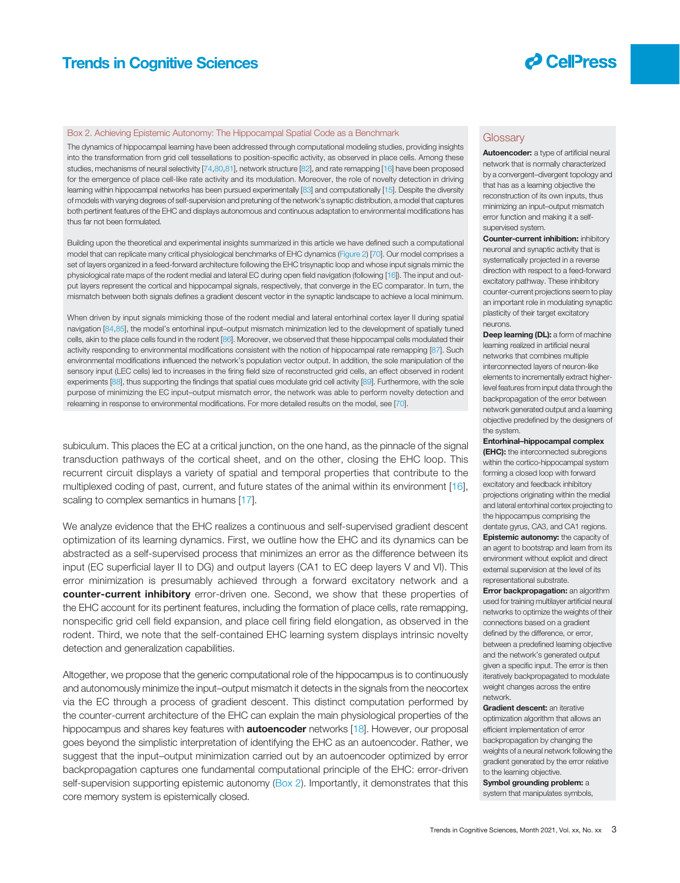

#### Box 2. Achieving Epistemic Autonomy: The Hippocampal Spatial Code as a Benchmark

The dynamics of hippocampal learning have been addressed through computational modeling studies, providing insights into the transformation from grid cell tessellations to position-specific activity, as observed in place cells. Among these studies, mechanisms of neural selectivity [74,80,81], network structure [82], and rate remapping [16] have been proposed for the emergence of place cell-like rate activity and its modulation. Moreover, the role of novelty detection in driving learning within hippocampal networks has been pursued experimentally [83] and computationally [15]. Despite the diversity of models with varying degrees of self-supervision and pretuning of the network's synaptic distribution, a model that captures both pertinent features of the EHC and displays autonomous and continuous adaptation to environmental modifications has thus far not been formulated.

Building upon the theoretical and experimental insights summarized in this article we have defined such a computational model that can replicate many critical physiological benchmarks of EHC dynamics (Figure 2) [70]. Our model comprises a set of layers organized in a feed-forward architecture following the EHC trisynaptic loop and whose input signals mimic the physiological rate maps of the rodent medial and lateral EC during open field navigation (following [16]). The input and output layers represent the cortical and hippocampal signals, respectively, that converge in the EC comparator. In turn, the mismatch between both signals defines a gradient descent vector in the synaptic landscape to achieve a local minimum.

When driven by input signals mimicking those of the rodent medial and lateral entorhinal cortex layer II during spatial navigation [84,85], the model's entorhinal input–output mismatch minimization led to the development of spatially tuned cells, akin to the place cells found in the rodent [86]. Moreover, we observed that these hippocampal cells modulated their activity responding to environmental modifications consistent with the notion of hippocampal rate remapping [87]. Such environmental modifications influenced the network's population vector output. In addition, the sole manipulation of the sensory input (LEC cells) led to increases in the firing field size of reconstructed grid cells, an effect observed in rodent experiments [88], thus supporting the findings that spatial cues modulate grid cell activity [89]. Furthermore, with the sole purpose of minimizing the EC input–output mismatch error, the network was able to perform novelty detection and relearning in response to environmental modifications. For more detailed results on the model, see [70].

subiculum. This places the EC at a critical junction, on the one hand, as the pinnacle of the signal transduction pathways of the cortical sheet, and on the other, closing the EHC loop. This recurrent circuit displays a variety of spatial and temporal properties that contribute to the multiplexed coding of past, current, and future states of the animal within its environment [16], scaling to complex semantics in humans [17].

We analyze evidence that the EHC realizes a continuous and self-supervised gradient descent optimization of its learning dynamics. First, we outline how the EHC and its dynamics can be abstracted as a self-supervised process that minimizes an error as the difference between its input (EC superficial layer II to DG) and output layers (CA1 to EC deep layers V and VI). This error minimization is presumably achieved through a forward excitatory network and a counter-current inhibitory error-driven one. Second, we show that these properties of the EHC account for its pertinent features, including the formation of place cells, rate remapping, nonspecific grid cell field expansion, and place cell firing field elongation, as observed in the rodent. Third, we note that the self-contained EHC learning system displays intrinsic novelty detection and generalization capabilities.

Altogether, we propose that the generic computational role of the hippocampus is to continuously and autonomously minimize the input–output mismatch it detects in the signals from the neocortex via the EC through a process of gradient descent. This distinct computation performed by the counter-current architecture of the EHC can explain the main physiological properties of the hippocampus and shares key features with **autoencoder** networks [18]. However, our proposal goes beyond the simplistic interpretation of identifying the EHC as an autoencoder. Rather, we suggest that the input–output minimization carried out by an autoencoder optimized by error backpropagation captures one fundamental computational principle of the EHC: error-driven self-supervision supporting epistemic autonomy (Box 2). Importantly, it demonstrates that this core memory system is epistemically closed.

#### **Glossary**

Autoencoder: a type of artificial neural network that is normally characterized by a convergent–divergent topology and that has as a learning objective the reconstruction of its own inputs, thus minimizing an input–output mismatch error function and making it a selfsupervised system.

Counter-current inhibition: inhibitory neuronal and synaptic activity that is systematically projected in a reverse direction with respect to a feed-forward excitatory pathway. These inhibitory counter-current projections seem to play an important role in modulating synaptic plasticity of their target excitatory neurons.

Deep learning (DL): a form of machine learning realized in artificial neural networks that combines multiple interconnected layers of neuron-like elements to incrementally extract higherlevel features from input data through the backpropagation of the error between network generated output and a learning objective predefined by the designers of the system.

Entorhinal–hippocampal complex **(EHC):** the interconnected subregions within the cortico-hippocampal system forming a closed loop with forward excitatory and feedback inhibitory projections originating within the medial and lateral entorhinal cortex projecting to the hippocampus comprising the dentate gyrus, CA3, and CA1 regions.

**Epistemic autonomy:** the capacity of an agent to bootstrap and learn from its environment without explicit and direct external supervision at the level of its representational substrate.

**Error backpropagation:** an algorithm used for training multilayer artificial neural networks to optimize the weights of their connections based on a gradient defined by the difference, or error, between a predefined learning objective and the network's generated output given a specific input. The error is then iteratively backpropagated to modulate weight changes across the entire network.

Gradient descent: an iterative

optimization algorithm that allows an efficient implementation of error backpropagation by changing the weights of a neural network following the gradient generated by the error relative to the learning objective.

Symbol grounding problem: a system that manipulates symbols,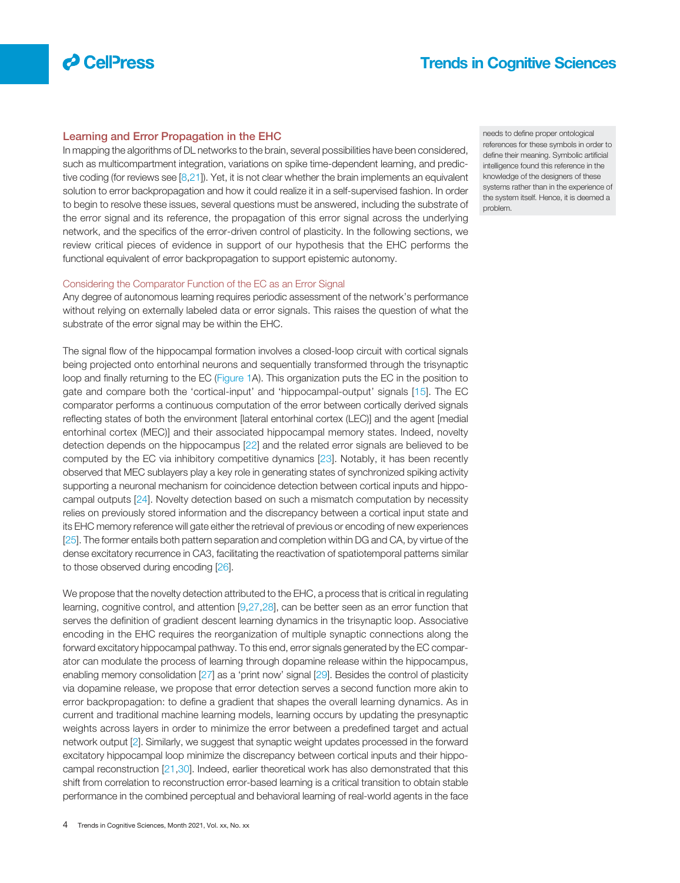

### Learning and Error Propagation in the EHC

In mapping the algorithms of DL networks to the brain, several possibilities have been considered, such as multicompartment integration, variations on spike time-dependent learning, and predictive coding (for reviews see  $[8,21]$ ). Yet, it is not clear whether the brain implements an equivalent solution to error backpropagation and how it could realize it in a self-supervised fashion. In order to begin to resolve these issues, several questions must be answered, including the substrate of the error signal and its reference, the propagation of this error signal across the underlying network, and the specifics of the error-driven control of plasticity. In the following sections, we review critical pieces of evidence in support of our hypothesis that the EHC performs the functional equivalent of error backpropagation to support epistemic autonomy.

### Considering the Comparator Function of the EC as an Error Signal

Any degree of autonomous learning requires periodic assessment of the network's performance without relying on externally labeled data or error signals. This raises the question of what the substrate of the error signal may be within the EHC.

The signal flow of the hippocampal formation involves a closed-loop circuit with cortical signals being projected onto entorhinal neurons and sequentially transformed through the trisynaptic loop and finally returning to the EC (Figure 1A). This organization puts the EC in the position to gate and compare both the 'cortical-input' and 'hippocampal-output' signals [15]. The EC comparator performs a continuous computation of the error between cortically derived signals reflecting states of both the environment [lateral entorhinal cortex (LEC)] and the agent [medial entorhinal cortex (MEC)] and their associated hippocampal memory states. Indeed, novelty detection depends on the hippocampus [22] and the related error signals are believed to be computed by the EC via inhibitory competitive dynamics [23]. Notably, it has been recently observed that MEC sublayers play a key role in generating states of synchronized spiking activity supporting a neuronal mechanism for coincidence detection between cortical inputs and hippocampal outputs [24]. Novelty detection based on such a mismatch computation by necessity relies on previously stored information and the discrepancy between a cortical input state and its EHC memory reference will gate either the retrieval of previous or encoding of new experiences [25]. The former entails both pattern separation and completion within DG and CA, by virtue of the dense excitatory recurrence in CA3, facilitating the reactivation of spatiotemporal patterns similar to those observed during encoding [26].

We propose that the novelty detection attributed to the EHC, a process that is critical in regulating learning, cognitive control, and attention [9,27,28], can be better seen as an error function that serves the definition of gradient descent learning dynamics in the trisynaptic loop. Associative encoding in the EHC requires the reorganization of multiple synaptic connections along the forward excitatory hippocampal pathway. To this end, error signals generated by the EC comparator can modulate the process of learning through dopamine release within the hippocampus, enabling memory consolidation [27] as a 'print now' signal [29]. Besides the control of plasticity via dopamine release, we propose that error detection serves a second function more akin to error backpropagation: to define a gradient that shapes the overall learning dynamics. As in current and traditional machine learning models, learning occurs by updating the presynaptic weights across layers in order to minimize the error between a predefined target and actual network output [2]. Similarly, we suggest that synaptic weight updates processed in the forward excitatory hippocampal loop minimize the discrepancy between cortical inputs and their hippocampal reconstruction [21,30]. Indeed, earlier theoretical work has also demonstrated that this shift from correlation to reconstruction error-based learning is a critical transition to obtain stable performance in the combined perceptual and behavioral learning of real-world agents in the face

needs to define proper ontological references for these symbols in order to define their meaning. Symbolic artificial intelligence found this reference in the knowledge of the designers of these systems rather than in the experience of the system itself. Hence, it is deemed a problem.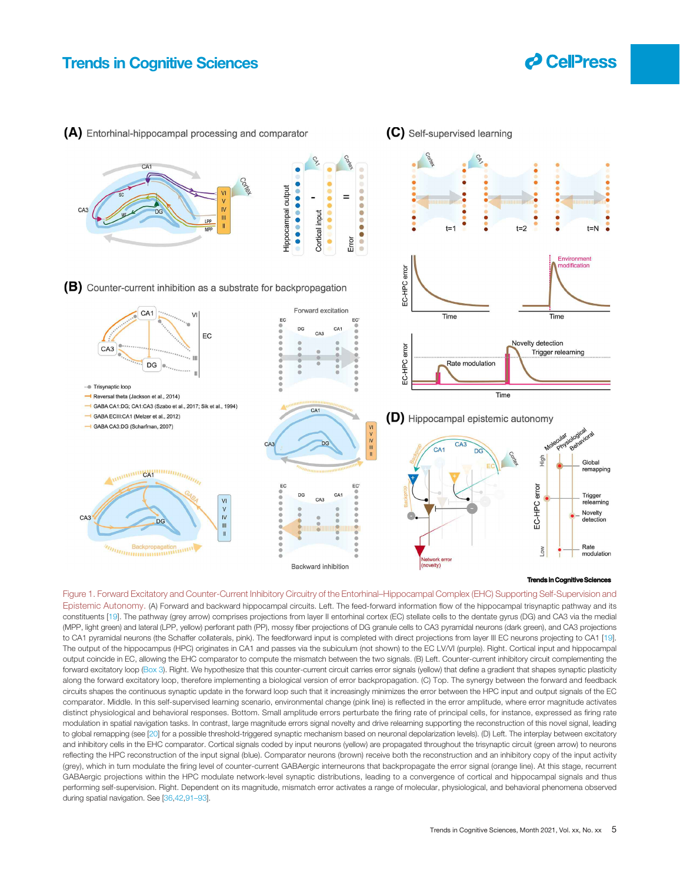

(A) Entorhinal-hippocampal processing and comparator

(C) Self-supervised learning



#### **Trends in Cognitive Cognitive Sciences**

Figure 1. Forward Excitatory and Counter-Current Inhibitory Circuitry of the Entorhinal–Hippocampal Complex (EHC) Supporting Self-Supervision and Epistemic Autonomy. (A) Forward and backward hippocampal circuits. Left. The feed-forward information flow of the hippocampal trisynaptic pathway and its constituents [19]. The pathway (grey arrow) comprises projections from layer II entorhinal cortex (EC) stellate cells to the dentate gyrus (DG) and CA3 via the medial (MPP, light green) and lateral (LPP, yellow) perforant path (PP), mossy fiber projections of DG granule cells to CA3 pyramidal neurons (dark green), and CA3 projections to CA1 pyramidal neurons (the Schaffer collaterals, pink). The feedforward input is completed with direct projections from layer III EC neurons projecting to CA1 [19]. The output of the hippocampus (HPC) originates in CA1 and passes via the subiculum (not shown) to the EC LV/VI (purple). Right. Cortical input and hippocampal output coincide in EC, allowing the EHC comparator to compute the mismatch between the two signals. (B) Left. Counter-current inhibitory circuit complementing the forward excitatory loop (Box 3). Right. We hypothesize that this counter-current circuit carries error signals (yellow) that define a gradient that shapes synaptic plasticity along the forward excitatory loop, therefore implementing a biological version of error backpropagation. (C) Top. The synergy between the forward and feedback circuits shapes the continuous synaptic update in the forward loop such that it increasingly minimizes the error between the HPC input and output signals of the EC comparator. Middle. In this self-supervised learning scenario, environmental change (pink line) is reflected in the error amplitude, where error magnitude activates distinct physiological and behavioral responses. Bottom. Small amplitude errors perturbate the firing rate of principal cells, for instance, expressed as firing rate modulation in spatial navigation tasks. In contrast, large magnitude errors signal novelty and drive relearning supporting the reconstruction of this novel signal, leading to global remapping (see [20] for a possible threshold-triggered synaptic mechanism based on neuronal depolarization levels). (D) Left. The interplay between excitatory and inhibitory cells in the EHC comparator. Cortical signals coded by input neurons (yellow) are propagated throughout the trisynaptic circuit (green arrow) to neurons reflecting the HPC reconstruction of the input signal (blue). Comparator neurons (brown) receive both the reconstruction and an inhibitory copy of the input activity (grey), which in turn modulate the firing level of counter-current GABAergic interneurons that backpropagate the error signal (orange line). At this stage, recurrent GABAergic projections within the HPC modulate network-level synaptic distributions, leading to a convergence of cortical and hippocampal signals and thus performing self-supervision. Right. Dependent on its magnitude, mismatch error activates a range of molecular, physiological, and behavioral phenomena observed during spatial navigation. See [36,42,91–93].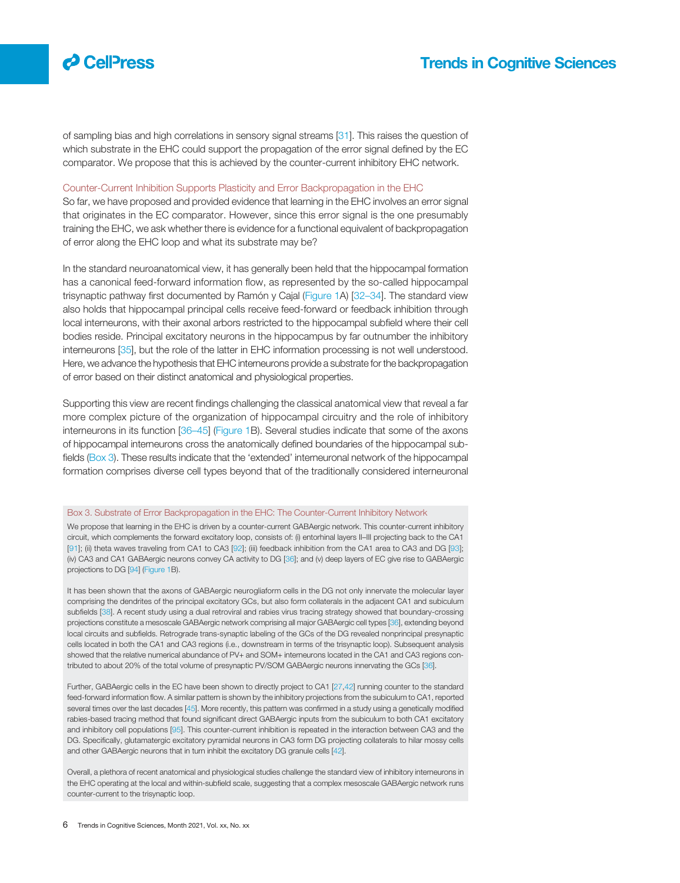

of sampling bias and high correlations in sensory signal streams [31]. This raises the question of which substrate in the EHC could support the propagation of the error signal defined by the EC comparator. We propose that this is achieved by the counter-current inhibitory EHC network.

#### Counter-Current Inhibition Supports Plasticity and Error Backpropagation in the EHC

So far, we have proposed and provided evidence that learning in the EHC involves an error signal that originates in the EC comparator. However, since this error signal is the one presumably training the EHC, we ask whether there is evidence for a functional equivalent of backpropagation of error along the EHC loop and what its substrate may be?

In the standard neuroanatomical view, it has generally been held that the hippocampal formation has a canonical feed-forward information flow, as represented by the so-called hippocampal trisynaptic pathway first documented by Ramón y Cajal (Figure 1A) [32–34]. The standard view also holds that hippocampal principal cells receive feed-forward or feedback inhibition through local interneurons, with their axonal arbors restricted to the hippocampal subfield where their cell bodies reside. Principal excitatory neurons in the hippocampus by far outnumber the inhibitory interneurons [35], but the role of the latter in EHC information processing is not well understood. Here, we advance the hypothesis that EHC interneurons provide a substrate for the backpropagation of error based on their distinct anatomical and physiological properties.

Supporting this view are recent findings challenging the classical anatomical view that reveal a far more complex picture of the organization of hippocampal circuitry and the role of inhibitory interneurons in its function [36–45] (Figure 1B). Several studies indicate that some of the axons of hippocampal interneurons cross the anatomically defined boundaries of the hippocampal subfields (Box 3). These results indicate that the 'extended' interneuronal network of the hippocampal formation comprises diverse cell types beyond that of the traditionally considered interneuronal

#### Box 3. Substrate of Error Backpropagation in the EHC: The Counter-Current Inhibitory Network

We propose that learning in the EHC is driven by a counter-current GABAergic network. This counter-current inhibitory circuit, which complements the forward excitatory loop, consists of: (i) entorhinal layers II–III projecting back to the CA1 [91]; (ii) theta waves traveling from CA1 to CA3 [92]; (iii) feedback inhibition from the CA1 area to CA3 and DG [93]; (iv) CA3 and CA1 GABAergic neurons convey CA activity to DG [36]; and (v) deep layers of EC give rise to GABAergic projections to DG [94] (Figure 1B).

It has been shown that the axons of GABAergic neurogliaform cells in the DG not only innervate the molecular layer comprising the dendrites of the principal excitatory GCs, but also form collaterals in the adjacent CA1 and subiculum subfields [38]. A recent study using a dual retroviral and rabies virus tracing strategy showed that boundary-crossing projections constitute a mesoscale GABAergic network comprising all major GABAergic cell types [36], extending beyond local circuits and subfields. Retrograde trans-synaptic labeling of the GCs of the DG revealed nonprincipal presynaptic cells located in both the CA1 and CA3 regions (i.e., downstream in terms of the trisynaptic loop). Subsequent analysis showed that the relative numerical abundance of PV+ and SOM+ interneurons located in the CA1 and CA3 regions contributed to about 20% of the total volume of presynaptic PV/SOM GABAergic neurons innervating the GCs [36].

Further, GABAergic cells in the EC have been shown to directly project to CA1 [27,42] running counter to the standard feed-forward information flow. A similar pattern is shown by the inhibitory projections from the subiculum to CA1, reported several times over the last decades [45]. More recently, this pattern was confirmed in a study using a genetically modified rabies-based tracing method that found significant direct GABAergic inputs from the subiculum to both CA1 excitatory and inhibitory cell populations [95]. This counter-current inhibition is repeated in the interaction between CA3 and the DG. Specifically, glutamatergic excitatory pyramidal neurons in CA3 form DG projecting collaterals to hilar mossy cells and other GABAergic neurons that in turn inhibit the excitatory DG granule cells [42].

Overall, a plethora of recent anatomical and physiological studies challenge the standard view of inhibitory interneurons in the EHC operating at the local and within-subfield scale, suggesting that a complex mesoscale GABAergic network runs counter-current to the trisynaptic loop.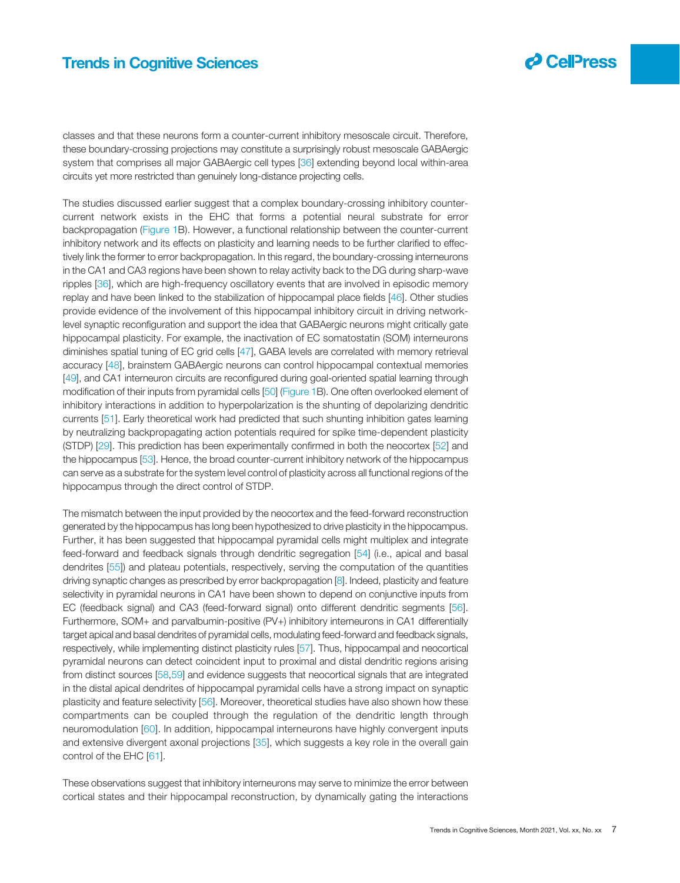classes and that these neurons form a counter-current inhibitory mesoscale circuit. Therefore, these boundary-crossing projections may constitute a surprisingly robust mesoscale GABAergic system that comprises all major GABAergic cell types [36] extending beyond local within-area circuits yet more restricted than genuinely long-distance projecting cells.

The studies discussed earlier suggest that a complex boundary-crossing inhibitory countercurrent network exists in the EHC that forms a potential neural substrate for error backpropagation (Figure 1B). However, a functional relationship between the counter-current inhibitory network and its effects on plasticity and learning needs to be further clarified to effectively link the former to error backpropagation. In this regard, the boundary-crossing interneurons in the CA1 and CA3 regions have been shown to relay activity back to the DG during sharp-wave ripples [36], which are high-frequency oscillatory events that are involved in episodic memory replay and have been linked to the stabilization of hippocampal place fields [46]. Other studies provide evidence of the involvement of this hippocampal inhibitory circuit in driving networklevel synaptic reconfiguration and support the idea that GABAergic neurons might critically gate hippocampal plasticity. For example, the inactivation of EC somatostatin (SOM) interneurons diminishes spatial tuning of EC grid cells [47], GABA levels are correlated with memory retrieval accuracy [48], brainstem GABAergic neurons can control hippocampal contextual memories [49], and CA1 interneuron circuits are reconfigured during goal-oriented spatial learning through modification of their inputs from pyramidal cells [50] (Figure 1B). One often overlooked element of inhibitory interactions in addition to hyperpolarization is the shunting of depolarizing dendritic currents [51]. Early theoretical work had predicted that such shunting inhibition gates learning by neutralizing backpropagating action potentials required for spike time-dependent plasticity (STDP) [29]. This prediction has been experimentally confirmed in both the neocortex [52] and the hippocampus [53]. Hence, the broad counter-current inhibitory network of the hippocampus can serve as a substrate for the system level control of plasticity across all functional regions of the hippocampus through the direct control of STDP.

The mismatch between the input provided by the neocortex and the feed-forward reconstruction generated by the hippocampus has long been hypothesized to drive plasticity in the hippocampus. Further, it has been suggested that hippocampal pyramidal cells might multiplex and integrate feed-forward and feedback signals through dendritic segregation [54] (i.e., apical and basal dendrites [55]) and plateau potentials, respectively, serving the computation of the quantities driving synaptic changes as prescribed by error backpropagation [8]. Indeed, plasticity and feature selectivity in pyramidal neurons in CA1 have been shown to depend on conjunctive inputs from EC (feedback signal) and CA3 (feed-forward signal) onto different dendritic segments [56]. Furthermore, SOM+ and parvalbumin-positive (PV+) inhibitory interneurons in CA1 differentially target apical and basal dendrites of pyramidal cells, modulating feed-forward and feedback signals, respectively, while implementing distinct plasticity rules [57]. Thus, hippocampal and neocortical pyramidal neurons can detect coincident input to proximal and distal dendritic regions arising from distinct sources [58,59] and evidence suggests that neocortical signals that are integrated in the distal apical dendrites of hippocampal pyramidal cells have a strong impact on synaptic plasticity and feature selectivity [56]. Moreover, theoretical studies have also shown how these compartments can be coupled through the regulation of the dendritic length through neuromodulation [60]. In addition, hippocampal interneurons have highly convergent inputs and extensive divergent axonal projections [35], which suggests a key role in the overall gain control of the EHC [61].

These observations suggest that inhibitory interneurons may serve to minimize the error between cortical states and their hippocampal reconstruction, by dynamically gating the interactions

 $\boldsymbol{\beta}$  CellPress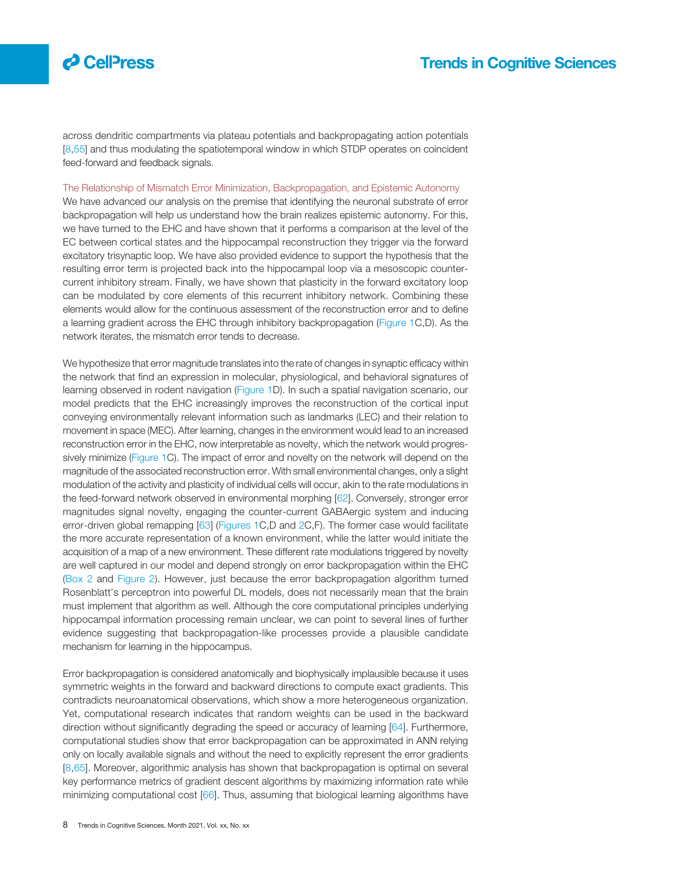

across dendritic compartments via plateau potentials and backpropagating action potentials [8,55] and thus modulating the spatiotemporal window in which STDP operates on coincident feed-forward and feedback signals.

The Relationship of Mismatch Error Minimization, Backpropagation, and Epistemic Autonomy

We have advanced our analysis on the premise that identifying the neuronal substrate of error backpropagation will help us understand how the brain realizes epistemic autonomy. For this, we have turned to the EHC and have shown that it performs a comparison at the level of the EC between cortical states and the hippocampal reconstruction they trigger via the forward excitatory trisynaptic loop. We have also provided evidence to support the hypothesis that the resulting error term is projected back into the hippocampal loop via a mesoscopic countercurrent inhibitory stream. Finally, we have shown that plasticity in the forward excitatory loop can be modulated by core elements of this recurrent inhibitory network. Combining these elements would allow for the continuous assessment of the reconstruction error and to define a learning gradient across the EHC through inhibitory backpropagation (Figure 1C,D). As the network iterates, the mismatch error tends to decrease.

We hypothesize that error magnitude translates into the rate of changes in synaptic efficacy within the network that find an expression in molecular, physiological, and behavioral signatures of learning observed in rodent navigation (Figure 1D). In such a spatial navigation scenario, our model predicts that the EHC increasingly improves the reconstruction of the cortical input conveying environmentally relevant information such as landmarks (LEC) and their relation to movement in space (MEC). After learning, changes in the environment would lead to an increased reconstruction error in the EHC, now interpretable as novelty, which the network would progressively minimize (Figure 1C). The impact of error and novelty on the network will depend on the magnitude of the associated reconstruction error. With small environmental changes, only a slight modulation of the activity and plasticity of individual cells will occur, akin to the rate modulations in the feed-forward network observed in environmental morphing [62]. Conversely, stronger error magnitudes signal novelty, engaging the counter-current GABAergic system and inducing error-driven global remapping [63] (Figures 1C,D and 2C,F). The former case would facilitate the more accurate representation of a known environment, while the latter would initiate the acquisition of a map of a new environment. These different rate modulations triggered by novelty are well captured in our model and depend strongly on error backpropagation within the EHC (Box 2 and Figure 2). However, just because the error backpropagation algorithm turned Rosenblatt's perceptron into powerful DL models, does not necessarily mean that the brain must implement that algorithm as well. Although the core computational principles underlying hippocampal information processing remain unclear, we can point to several lines of further evidence suggesting that backpropagation-like processes provide a plausible candidate mechanism for learning in the hippocampus.

Error backpropagation is considered anatomically and biophysically implausible because it uses symmetric weights in the forward and backward directions to compute exact gradients. This contradicts neuroanatomical observations, which show a more heterogeneous organization. Yet, computational research indicates that random weights can be used in the backward direction without significantly degrading the speed or accuracy of learning [64]. Furthermore, computational studies show that error backpropagation can be approximated in ANN relying only on locally available signals and without the need to explicitly represent the error gradients [8,65]. Moreover, algorithmic analysis has shown that backpropagation is optimal on several key performance metrics of gradient descent algorithms by maximizing information rate while minimizing computational cost [66]. Thus, assuming that biological learning algorithms have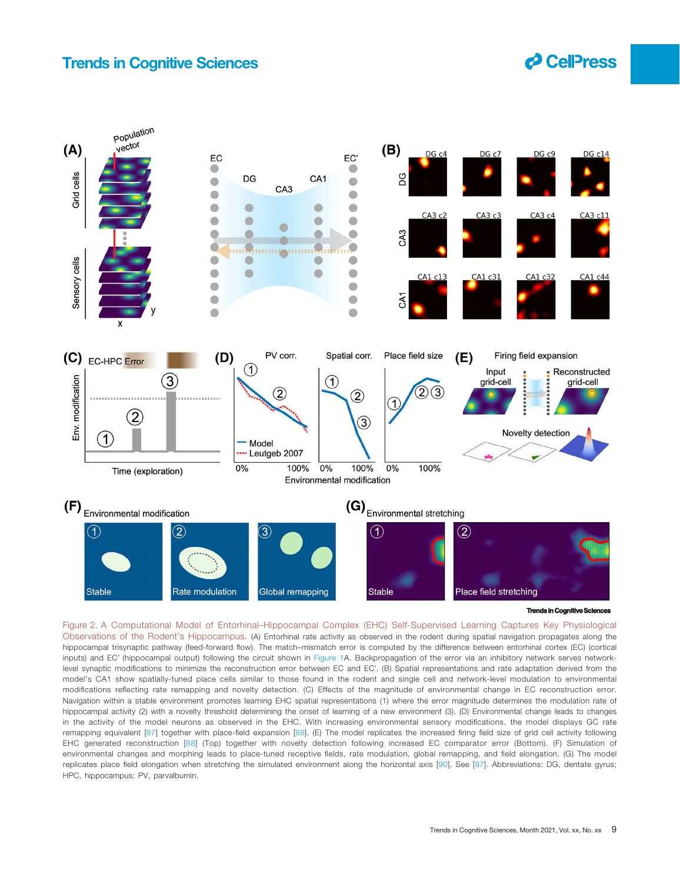



Figure 2. A Computational Model of Entorhinal–Hippocampal Complex (EHC) Self-Supervised Learning Captures Key Physiological Observations of the Rodent's Hippocampus. (A) Entorhinal rate activity as observed in the rodent during spatial navigation propagates along the hippocampal trisynaptic pathway (feed-forward flow). The match–mismatch error is computed by the difference between entorhinal cortex (EC) (cortical inputs) and EC′ (hippocampal output) following the circuit shown in Figure 1A. Backpropagation of the error via an inhibitory network serves networklevel synaptic modifications to minimize the reconstruction error between EC and EC′. (B) Spatial representations and rate adaptation derived from the model's CA1 show spatially-tuned place cells similar to those found in the rodent and single cell and network-level modulation to environmental modifications reflecting rate remapping and novelty detection. (C) Effects of the magnitude of environmental change in EC reconstruction error. Navigation within a stable environment promotes learning EHC spatial representations (1) where the error magnitude determines the modulation rate of hippocampal activity (2) with a novelty threshold determining the onset of learning of a new environment (3). (D) Environmental change leads to changes in the activity of the model neurons as observed in the EHC. With increasing environmental sensory modifications, the model displays GC rate remapping equivalent [87] together with place-field expansion [88]. (E) The model replicates the increased firing field size of grid cell activity following EHC generated reconstruction [88] (Top) together with novelty detection following increased EC comparator error (Bottom). (F) Simulation of environmental changes and morphing leads to place-tuned receptive fields, rate modulation, global remapping, and field elongation. (G) The model replicates place field elongation when stretching the simulated environment along the horizontal axis [90]. See [87]. Abbreviations: DG, dentate gyrus; HPC, hippocampus; PV, parvalbumin.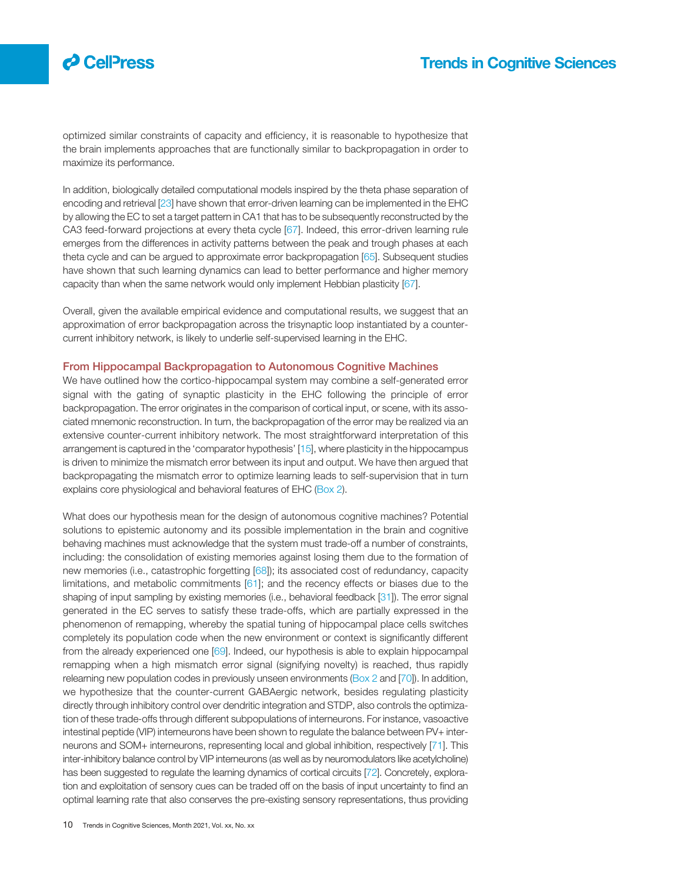# $\boldsymbol{\beta}$  CelPress

### Trends in Cognitive Sciences

optimized similar constraints of capacity and efficiency, it is reasonable to hypothesize that the brain implements approaches that are functionally similar to backpropagation in order to maximize its performance.

In addition, biologically detailed computational models inspired by the theta phase separation of encoding and retrieval [23] have shown that error-driven learning can be implemented in the EHC by allowing the EC to set a target pattern in CA1 that has to be subsequently reconstructed by the CA3 feed-forward projections at every theta cycle [67]. Indeed, this error-driven learning rule emerges from the differences in activity patterns between the peak and trough phases at each theta cycle and can be argued to approximate error backpropagation [65]. Subsequent studies have shown that such learning dynamics can lead to better performance and higher memory capacity than when the same network would only implement Hebbian plasticity [67].

Overall, given the available empirical evidence and computational results, we suggest that an approximation of error backpropagation across the trisynaptic loop instantiated by a countercurrent inhibitory network, is likely to underlie self-supervised learning in the EHC.

### From Hippocampal Backpropagation to Autonomous Cognitive Machines

We have outlined how the cortico-hippocampal system may combine a self-generated error signal with the gating of synaptic plasticity in the EHC following the principle of error backpropagation. The error originates in the comparison of cortical input, or scene, with its associated mnemonic reconstruction. In turn, the backpropagation of the error may be realized via an extensive counter-current inhibitory network. The most straightforward interpretation of this arrangement is captured in the 'comparator hypothesis' [15], where plasticity in the hippocampus is driven to minimize the mismatch error between its input and output. We have then argued that backpropagating the mismatch error to optimize learning leads to self-supervision that in turn explains core physiological and behavioral features of EHC (Box 2).

What does our hypothesis mean for the design of autonomous cognitive machines? Potential solutions to epistemic autonomy and its possible implementation in the brain and cognitive behaving machines must acknowledge that the system must trade-off a number of constraints, including: the consolidation of existing memories against losing them due to the formation of new memories (i.e., catastrophic forgetting [68]); its associated cost of redundancy, capacity limitations, and metabolic commitments [61]; and the recency effects or biases due to the shaping of input sampling by existing memories (i.e., behavioral feedback [31]). The error signal generated in the EC serves to satisfy these trade-offs, which are partially expressed in the phenomenon of remapping, whereby the spatial tuning of hippocampal place cells switches completely its population code when the new environment or context is significantly different from the already experienced one [69]. Indeed, our hypothesis is able to explain hippocampal remapping when a high mismatch error signal (signifying novelty) is reached, thus rapidly relearning new population codes in previously unseen environments (Box 2 and [70]). In addition, we hypothesize that the counter-current GABAergic network, besides regulating plasticity directly through inhibitory control over dendritic integration and STDP, also controls the optimization of these trade-offs through different subpopulations of interneurons. For instance, vasoactive intestinal peptide (VIP) interneurons have been shown to regulate the balance between PV+ interneurons and SOM+ interneurons, representing local and global inhibition, respectively [71]. This inter-inhibitory balance control by VIP interneurons (as well as by neuromodulators like acetylcholine) has been suggested to regulate the learning dynamics of cortical circuits [72]. Concretely, exploration and exploitation of sensory cues can be traded off on the basis of input uncertainty to find an optimal learning rate that also conserves the pre-existing sensory representations, thus providing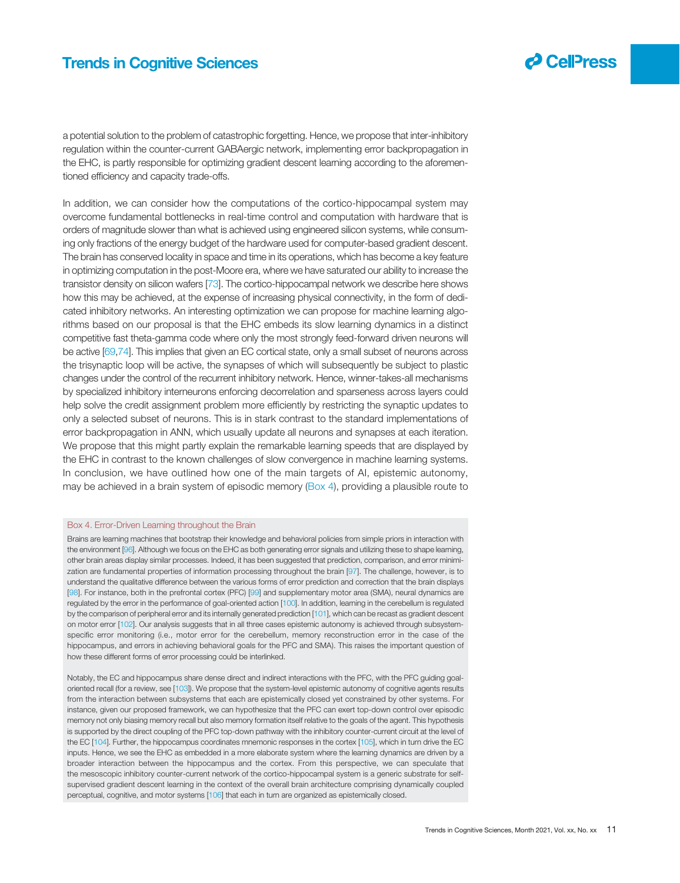

 $\boldsymbol{\partial}$  CellPress

a potential solution to the problem of catastrophic forgetting. Hence, we propose that inter-inhibitory regulation within the counter-current GABAergic network, implementing error backpropagation in the EHC, is partly responsible for optimizing gradient descent learning according to the aforementioned efficiency and capacity trade-offs.

In addition, we can consider how the computations of the cortico-hippocampal system may overcome fundamental bottlenecks in real-time control and computation with hardware that is orders of magnitude slower than what is achieved using engineered silicon systems, while consuming only fractions of the energy budget of the hardware used for computer-based gradient descent. The brain has conserved locality in space and time in its operations, which has become a key feature in optimizing computation in the post-Moore era, where we have saturated our ability to increase the transistor density on silicon wafers [73]. The cortico-hippocampal network we describe here shows how this may be achieved, at the expense of increasing physical connectivity, in the form of dedicated inhibitory networks. An interesting optimization we can propose for machine learning algorithms based on our proposal is that the EHC embeds its slow learning dynamics in a distinct competitive fast theta-gamma code where only the most strongly feed-forward driven neurons will be active [69,74]. This implies that given an EC cortical state, only a small subset of neurons across the trisynaptic loop will be active, the synapses of which will subsequently be subject to plastic changes under the control of the recurrent inhibitory network. Hence, winner-takes-all mechanisms by specialized inhibitory interneurons enforcing decorrelation and sparseness across layers could help solve the credit assignment problem more efficiently by restricting the synaptic updates to only a selected subset of neurons. This is in stark contrast to the standard implementations of error backpropagation in ANN, which usually update all neurons and synapses at each iteration. We propose that this might partly explain the remarkable learning speeds that are displayed by the EHC in contrast to the known challenges of slow convergence in machine learning systems. In conclusion, we have outlined how one of the main targets of AI, epistemic autonomy, may be achieved in a brain system of episodic memory (Box 4), providing a plausible route to

#### Box 4. Error-Driven Learning throughout the Brain

Brains are learning machines that bootstrap their knowledge and behavioral policies from simple priors in interaction with the environment [96]. Although we focus on the EHC as both generating error signals and utilizing these to shape learning, other brain areas display similar processes. Indeed, it has been suggested that prediction, comparison, and error minimization are fundamental properties of information processing throughout the brain [97]. The challenge, however, is to understand the qualitative difference between the various forms of error prediction and correction that the brain displays [98]. For instance, both in the prefrontal cortex (PFC) [99] and supplementary motor area (SMA), neural dynamics are regulated by the error in the performance of goal-oriented action [100]. In addition, learning in the cerebellum is regulated by the comparison of peripheral error and its internally generated prediction [101], which can be recast as gradient descent on motor error [102]. Our analysis suggests that in all three cases epistemic autonomy is achieved through subsystemspecific error monitoring (i.e., motor error for the cerebellum, memory reconstruction error in the case of the hippocampus, and errors in achieving behavioral goals for the PFC and SMA). This raises the important question of how these different forms of error processing could be interlinked.

Notably, the EC and hippocampus share dense direct and indirect interactions with the PFC, with the PFC guiding goaloriented recall (for a review, see [103]). We propose that the system-level epistemic autonomy of cognitive agents results from the interaction between subsystems that each are epistemically closed yet constrained by other systems. For instance, given our proposed framework, we can hypothesize that the PFC can exert top-down control over episodic memory not only biasing memory recall but also memory formation itself relative to the goals of the agent. This hypothesis is supported by the direct coupling of the PFC top-down pathway with the inhibitory counter-current circuit at the level of the EC [104]. Further, the hippocampus coordinates mnemonic responses in the cortex [105], which in turn drive the EC inputs. Hence, we see the EHC as embedded in a more elaborate system where the learning dynamics are driven by a broader interaction between the hippocampus and the cortex. From this perspective, we can speculate that the mesoscopic inhibitory counter-current network of the cortico-hippocampal system is a generic substrate for selfsupervised gradient descent learning in the context of the overall brain architecture comprising dynamically coupled perceptual, cognitive, and motor systems [106] that each in turn are organized as epistemically closed.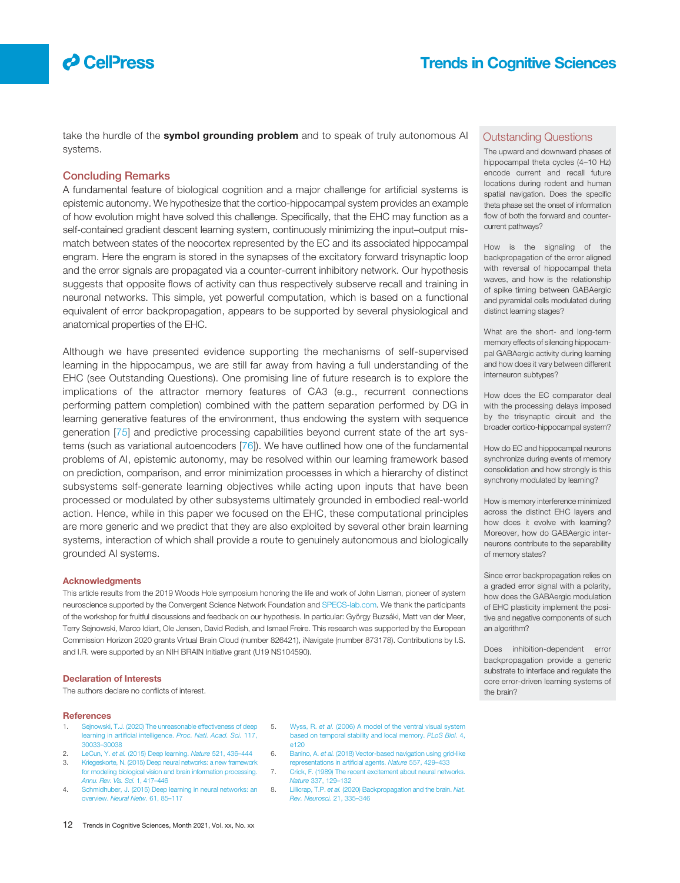# $\boldsymbol{\varphi}$  CelPress

take the hurdle of the symbol grounding problem and to speak of truly autonomous AI systems.

### Concluding Remarks

A fundamental feature of biological cognition and a major challenge for artificial systems is epistemic autonomy. We hypothesize that the cortico-hippocampal system provides an example of how evolution might have solved this challenge. Specifically, that the EHC may function as a self-contained gradient descent learning system, continuously minimizing the input–output mismatch between states of the neocortex represented by the EC and its associated hippocampal engram. Here the engram is stored in the synapses of the excitatory forward trisynaptic loop and the error signals are propagated via a counter-current inhibitory network. Our hypothesis suggests that opposite flows of activity can thus respectively subserve recall and training in neuronal networks. This simple, yet powerful computation, which is based on a functional equivalent of error backpropagation, appears to be supported by several physiological and anatomical properties of the EHC.

Although we have presented evidence supporting the mechanisms of self-supervised learning in the hippocampus, we are still far away from having a full understanding of the EHC (see Outstanding Questions). One promising line of future research is to explore the implications of the attractor memory features of CA3 (e.g., recurrent connections performing pattern completion) combined with the pattern separation performed by DG in learning generative features of the environment, thus endowing the system with sequence generation [75] and predictive processing capabilities beyond current state of the art systems (such as variational autoencoders [76]). We have outlined how one of the fundamental problems of AI, epistemic autonomy, may be resolved within our learning framework based on prediction, comparison, and error minimization processes in which a hierarchy of distinct subsystems self-generate learning objectives while acting upon inputs that have been processed or modulated by other subsystems ultimately grounded in embodied real-world action. Hence, while in this paper we focused on the EHC, these computational principles are more generic and we predict that they are also exploited by several other brain learning systems, interaction of which shall provide a route to genuinely autonomous and biologically grounded AI systems.

#### Acknowledgments

This article results from the 2019 Woods Hole symposium honoring the life and work of John Lisman, pioneer of system neuroscience supported by the Convergent Science Network Foundation and SPECS-lab.com. We thank the participants of the workshop for fruitful discussions and feedback on our hypothesis. In particular: György Buzsáki, Matt van der Meer, Terry Sejnowski, Marco Idiart, Ole Jensen, David Redish, and Ismael Freire. This research was supported by the European Commission Horizon 2020 grants Virtual Brain Cloud (number 826421), iNavigate (number 873178). Contributions by I.S. and I.R. were supported by an NIH BRAIN Initiative grant (U19 NS104590).

#### Declaration of Interests

The authors declare no conflicts of interest.

#### **References**

- Sejnowski, T.J. (2020) The unreasonable effectiveness of deep learning in artificial intelligence. Proc. Natl. Acad. Sci. 117, 30033–30038
- 2. LeCun, Y. et al. (2015) Deep learning. Nature 521, 436–444 3. Kriegeskorte, N. (2015) Deep neural networks: a new framework
- for modeling biological vision and brain information processing. Annu. Rev. Vis. Sci. 1, 417–446
- 4. Schmidhuber, J. (2015) Deep learning in neural networks: an overview. Neural Netw. 61, 85–117
- 5. Wyss, R. et al. (2006) A model of the ventral visual system based on temporal stability and local memory. PLoS Biol. 4, e120
- 6. Banino, A. et al. (2018) Vector-based navigation using grid-like representations in artificial agents. Nature 557, 429–433
- 7. Crick, F. (1989) The recent excitement about neural networks. Nature 337, 129–132
- 8. Lillicrap, T.P. et al. (2020) Backpropagation and the brain. Nat. Rev. Neurosci. 21, 335–346

### Outstanding Questions

The upward and downward phases of hippocampal theta cycles (4–10 Hz) encode current and recall future locations during rodent and human spatial navigation. Does the specific theta phase set the onset of information flow of both the forward and countercurrent pathways?

How is the signaling of the backpropagation of the error aligned with reversal of hippocampal theta waves, and how is the relationship of spike timing between GABAergic and pyramidal cells modulated during distinct learning stages?

What are the short- and long-term memory effects of silencing hippocampal GABAergic activity during learning and how does it vary between different interneuron subtypes?

How does the EC comparator deal with the processing delays imposed by the trisynaptic circuit and the broader cortico-hippocampal system?

How do EC and hippocampal neurons synchronize during events of memory consolidation and how strongly is this synchrony modulated by learning?

How is memory interference minimized across the distinct EHC layers and how does it evolve with learning? Moreover, how do GABAergic interneurons contribute to the separability of memory states?

Since error backpropagation relies on a graded error signal with a polarity, how does the GABAergic modulation of EHC plasticity implement the positive and negative components of such an algorithm?

Does inhibition-dependent error backpropagation provide a generic substrate to interface and regulate the core error-driven learning systems of the brain?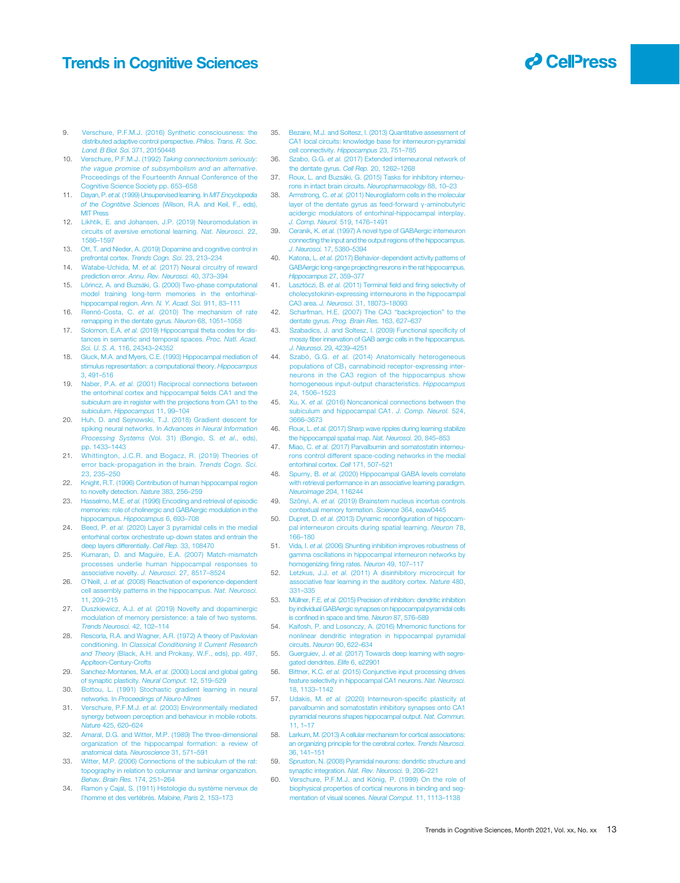- 9. Verschure, P.F.M.J. (2016) Synthetic consciousness: the distributed adaptive control perspective. Philos. Trans. R. Soc. Lond. B Biol. Sci. 371, 20150448
- 10. Verschure, P.F.M.J. (1992) Taking connectionism seriously: the vague promise of subsymbolism and an alternative. Proceedings of the Fourteenth Annual Conference of the Cognitive Science Society pp. 653–658
- 11. Dayan, P. et al. (1999) Unsupervised learning. In MIT Encyclopedia of the Cogntitive Sciences (Wilson, R.A. and Keil, F., eds), **MIT Press**
- 12. Likhtik, E. and Johansen, J.P. (2019) Neuromodulation in circuits of aversive emotional learning. Nat. Neurosci. 22, 1586–1597
- 13. Ott, T. and Nieder, A. (2019) Dopamine and cognitive control in prefrontal cortex. Trends Cogn. Sci. 23, 213–234
- 14. Watabe-Uchida, M. et al. (2017) Neural circuitry of reward prediction error. Annu. Rev. Neurosci. 40, 373–394
- 15. Lörincz, A. and Buzsáki, G. (2000) Two-phase computational model training long-term memories in the entorhinalhippocampal region. Ann. N. Y. Acad. Sci. 911, 83–111
- 16. Rennó-Costa, C. et al. (2010) The mechanism of rate remapping in the dentate gyrus. Neuron 68, 1051–1058
- 17. Solomon, E.A. et al. (2019) Hippocampal theta codes for distances in semantic and temporal spaces. Proc. Natl. Acad. Sci. U. S. A. 116, 24343–24352
- 18. Gluck, M.A. and Myers, C.E. (1993) Hippocampal mediation of stimulus representation: a computational theory. Hippocampus 3, 491–516
- 19. Naber, P.A. et al. (2001) Reciprocal connections between the entorhinal cortex and hippocampal fields CA1 and the subiculum are in register with the projections from CA1 to the subiculum. Hippocampus 11, 99-104
- 20. Huh, D. and Sejnowski, T.J. (2018) Gradient descent for spiking neural networks. In Advances in Neural Information Processing Systems (Vol. 31) (Bengio, S. et al., eds), pp. 1433–1443
- 21. Whittington, J.C.R. and Bogacz, R. (2019) Theories of error back-propagation in the brain. Trends Cogn. Sci. 23, 235–250
- 22. Knight, R.T. (1996) Contribution of human hippocampal region to novelty detection. Nature 383, 256–259
- 23. Hasselmo, M.E. et al. (1996) Encoding and retrieval of episodic memories: role of cholinergic and GABAergic modulation in the hippocampus. Hippocampus 6, 693-708
- 24. Beed, P. et al. (2020) Layer 3 pyramidal cells in the medial entorhinal cortex orchestrate up-down states and entrain the deep layers differentially. Cell Rep. 33, 108470
- 25. Kumaran, D. and Maguire, E.A. (2007) Match-mismatch processes underlie human hippocampal responses to associative novelty. J. Neurosci. 27, 8517-8524
- 26. O'Neill, J. et al. (2008) Reactivation of experience-dependent cell assembly patterns in the hippocampus. Nat. Neurosci. 11, 209–215
- 27. Duszkiewicz, A.J. et al. (2019) Novelty and dopaminergic modulation of memory persistence: a tale of two systems. Trends Neurosci. 42, 102–114
- 28. Rescorla, R.A. and Wagner, A.R. (1972) A theory of Pavlovian conditioning. In Classical Conditioning II Current Research and Theory (Black, A.H. and Prokasy, W.F., eds), pp. 497, Applteon-Century-Crofts
- 29. Sanchez-Montanes, M.A. et al. (2000) Local and global gating of synaptic plasticity. Neural Comput. 12, 519–529
- 30. Bottou, L. (1991) Stochastic gradient learning in neural networks. In Proceedings of Neuro-Nîmes
- 31. Verschure, P.F.M.J. et al. (2003) Environmentally mediated synergy between perception and behaviour in mobile robots. Nature 425, 620–624
- 32. Amaral, D.G. and Witter, M.P. (1989) The three-dimensional organization of the hippocampal formation: a review of anatomical data. Neuroscience 31, 571–591
- 33. Witter, M.P. (2006) Connections of the subiculum of the rat: topography in relation to columnar and laminar organization. Behav. Brain Res. 174, 251–264
- 34. Ramon y Cajal, S. (1911) Histologie du système nerveux de l'homme et des vertébrés. Maloine, Paris 2, 153–173
- 35. Bezaire, M.J. and Soltesz, I. (2013) Quantitative assessment of CA1 local circuits: knowledge base for interneuron-pyramidal cell connectivity. Hippocampus 23, 751–785
- 36. Szabo, G.G. et al. (2017) Extended interneuronal network of the dentate gyrus. Cell Rep. 20, 1262–1268
- 37. Roux, L. and Buzsáki, G. (2015) Tasks for inhibitory interneurons in intact brain circuits. Neuropharmacology 88, 10–23
- 38. Armstrong, C. et al. (2011) Neurogliaform cells in the molecular layer of the dentate gyrus as feed-forward γ-aminobutyric acidergic modulators of entorhinal-hippocampal interplay. J. Comp. Neurol. 519, 1476–1491
- 39. Ceranik, K. et al. (1997) A novel type of GABAergic interneuron connecting the input and the output regions of the hippocampus. J. Neurosci. 17, 5380–5394
- 40. Katona, L. et al. (2017) Behavior-dependent activity patterns of GABAergic long-range projecting neurons in the rat hippocampus. Hippocampus 27, 359–377
- Lasztóczi, B. et al. (2011) Terminal field and firing selectivity of cholecystokinin-expressing interneurons in the hippocampal CA3 area. J. Neurosci. 31, 18073–18093
- 42. Scharfman, H.E. (2007) The CA3 "backprojection" to the dentate gyrus. Prog. Brain Res. 163, 627–637
- Szabadics, J. and Soltesz, I. (2009) Functional specificity of mossy fiber innervation of GAB aergic cells in the hippocampus. J. Neurosci. 29, 4239–4251
- 44. Szabó, G.G. et al. (2014) Anatomically heterogeneous populations of CB<sub>1</sub> cannabinoid receptor-expressing interneurons in the CA3 region of the hippocampus show homogeneous input-output characteristics. Hippocampus 24, 1506–1523
- 45. Xu, X. et al. (2016) Noncanonical connections between the subiculum and hippocampal CA1. J. Comp. Neurol. 524, 3666–3673
- 46. Roux, L. et al. (2017) Sharp wave ripples during learning stabilize the hippocampal spatial map. Nat. Neurosci. 20, 845-853
- 47. Miao, C. et al. (2017) Parvalbumin and somatostatin interneurons control different space-coding networks in the medial entorhinal cortex. Cell 171, 507–521
- Spurny, B. et al. (2020) Hippocampal GABA levels correlate with retrieval performance in an associative learning paradigm. Neuroimage 204, 116244
- 49. Szőnyi, A. et al. (2019) Brainstem nucleus incertus controls contextual memory formation. Science 364, eaaw0445
- 50. Dupret, D. et al. (2013) Dynamic reconfiguration of hippocampal interneuron circuits during spatial learning. Neuron 78, 166–180
- 51. Vida, I. et al. (2006) Shunting inhibition improves robustness of gamma oscillations in hippocampal interneuron networks by homogenizing firing rates. Neuron 49, 107–117
- 52. Letzkus, J.J. et al. (2011) A disinhibitory microcircuit for associative fear learning in the auditory cortex. Nature 480, 331–335
- 53. Müllner, F.E. et al. (2015) Precision of inhibition: dendritic inhibition by individual GABAergic synapses on hippocampal pyramidal cells confined in space and time. Neuron 87, 576–589
- Kaifosh, P. and Losonczy, A. (2016) Mnemonic functions for nonlinear dendritic integration in hippocampal pyramidal circuits. Neuron 90, 622–634
- 55. Guerguiev, J. et al. (2017) Towards deep learning with segregated dendrites. Elife 6, e22901
- 56. Bittner, K.C. et al. (2015) Conjunctive input processing drives feature selectivity in hippocampal CA1 neurons. Nat. Neurosci. 18, 1133–1142
- 57. Udakis, M. et al. (2020) Interneuron-specific plasticity at parvalbumin and somatostatin inhibitory synapses onto CA1 pyramidal neurons shapes hippocampal output. Nat. Commun. 11, 1–17
- 58. Larkum, M. (2013) A cellular mechanism for cortical associations: an organizing principle for the cerebral cortex. Trends Neurosci. 36, 141–151
- 59. Spruston, N. (2008) Pyramidal neurons: dendritic structure and synaptic integration. Nat. Rev. Neurosci. 9, 206-221
- 60. Verschure, P.F.M.J. and König, P. (1999) On the role of biophysical properties of cortical neurons in binding and se mentation of visual scenes. Neural Comput. 11, 1113-1138